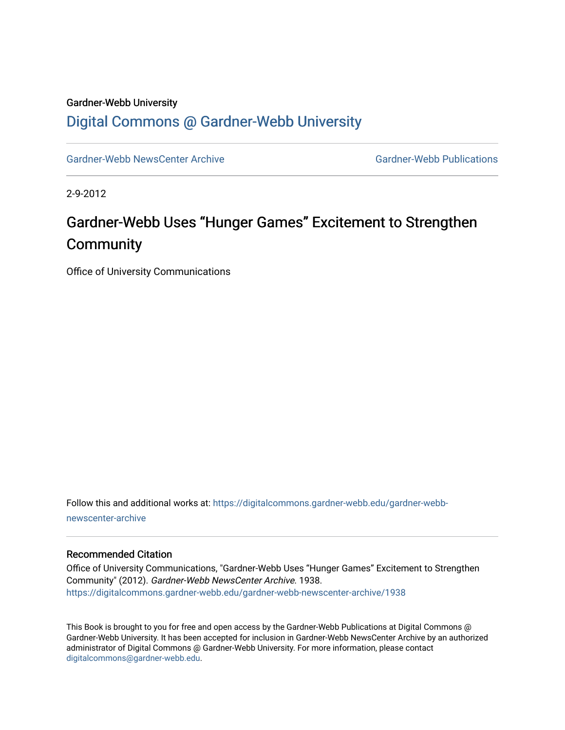## Gardner-Webb University [Digital Commons @ Gardner-Webb University](https://digitalcommons.gardner-webb.edu/)

[Gardner-Webb NewsCenter Archive](https://digitalcommons.gardner-webb.edu/gardner-webb-newscenter-archive) Gardner-Webb Publications

2-9-2012

## Gardner-Webb Uses "Hunger Games" Excitement to Strengthen **Community**

Office of University Communications

Follow this and additional works at: [https://digitalcommons.gardner-webb.edu/gardner-webb](https://digitalcommons.gardner-webb.edu/gardner-webb-newscenter-archive?utm_source=digitalcommons.gardner-webb.edu%2Fgardner-webb-newscenter-archive%2F1938&utm_medium=PDF&utm_campaign=PDFCoverPages)[newscenter-archive](https://digitalcommons.gardner-webb.edu/gardner-webb-newscenter-archive?utm_source=digitalcommons.gardner-webb.edu%2Fgardner-webb-newscenter-archive%2F1938&utm_medium=PDF&utm_campaign=PDFCoverPages)

## Recommended Citation

Office of University Communications, "Gardner-Webb Uses "Hunger Games" Excitement to Strengthen Community" (2012). Gardner-Webb NewsCenter Archive. 1938. [https://digitalcommons.gardner-webb.edu/gardner-webb-newscenter-archive/1938](https://digitalcommons.gardner-webb.edu/gardner-webb-newscenter-archive/1938?utm_source=digitalcommons.gardner-webb.edu%2Fgardner-webb-newscenter-archive%2F1938&utm_medium=PDF&utm_campaign=PDFCoverPages) 

This Book is brought to you for free and open access by the Gardner-Webb Publications at Digital Commons @ Gardner-Webb University. It has been accepted for inclusion in Gardner-Webb NewsCenter Archive by an authorized administrator of Digital Commons @ Gardner-Webb University. For more information, please contact [digitalcommons@gardner-webb.edu](mailto:digitalcommons@gardner-webb.edu).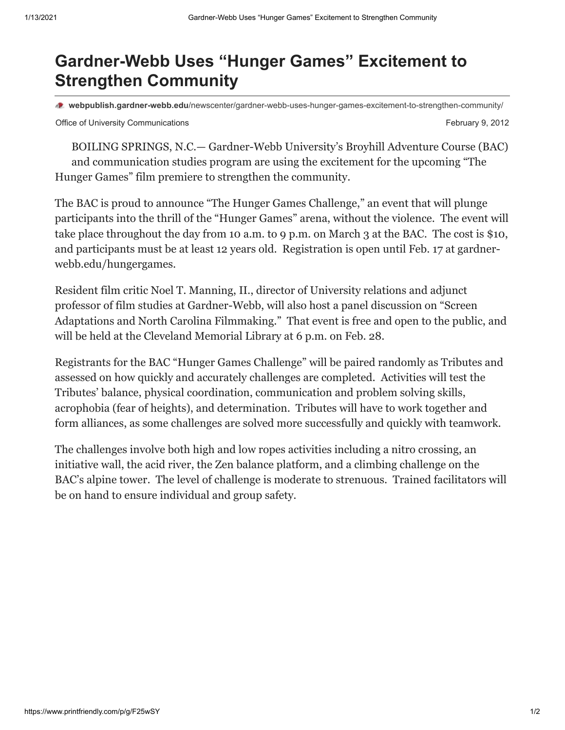## **Gardner-Webb Uses "Hunger Games" Excitement to Strengthen Community**

**webpublish.gardner-webb.edu**[/newscenter/gardner-webb-uses-hunger-games-excitement-to-strengthen-community/](https://webpublish.gardner-webb.edu/newscenter/gardner-webb-uses-hunger-games-excitement-to-strengthen-community/)

Office of University Communications **February 9, 2012** 

BOILING SPRINGS, N.C.— Gardner-Webb University's Broyhill Adventure Course (BAC) and communication studies program are using the excitement for the upcoming "The Hunger Games" film premiere to strengthen the community.

The BAC is proud to announce "The Hunger Games Challenge," an event that will plunge participants into the thrill of the "Hunger Games" arena, without the violence. The event will take place throughout the day from 10 a.m. to 9 p.m. on March 3 at the BAC. The cost is \$10, and participants must be at least 12 years old. Registration is open until Feb. 17 at gardnerwebb.edu/hungergames.

Resident film critic Noel T. Manning, II., director of University relations and adjunct professor of film studies at Gardner-Webb, will also host a panel discussion on "Screen Adaptations and North Carolina Filmmaking." That event is free and open to the public, and will be held at the Cleveland Memorial Library at 6 p.m. on Feb. 28.

Registrants for the BAC "Hunger Games Challenge" will be paired randomly as Tributes and assessed on how quickly and accurately challenges are completed. Activities will test the Tributes' balance, physical coordination, communication and problem solving skills, acrophobia (fear of heights), and determination. Tributes will have to work together and form alliances, as some challenges are solved more successfully and quickly with teamwork.

The challenges involve both high and low ropes activities including a nitro crossing, an initiative wall, the acid river, the Zen balance platform, and a climbing challenge on the BAC's alpine tower. The level of challenge is moderate to strenuous. Trained facilitators will be on hand to ensure individual and group safety.